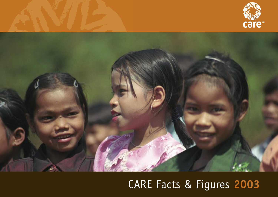



# CARE Facts & Figures **2003**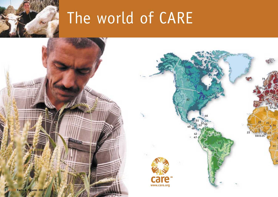

# The world of CARE

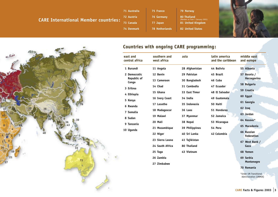The world of CARE **CARE International Member countries : 71 Australia 72 Austria 73 Canada**

**75 France 76 Germany 77 Japan 78 Netherlands**

**74 Denmark**

**79 Norway 80 Thailand 81 United Kingdom 82 United States** (Member as from 1 January 2003)





### **Countries with ongoing CARE programming:**

| east and<br>central africa | southern and<br>west africa | asia           | latin america<br>and the caribbean | middle east<br>and europe                        |
|----------------------------|-----------------------------|----------------|------------------------------------|--------------------------------------------------|
| 1 Burundi                  | 11 Angola                   | 28 Afghanistan | 44 Bolivia                         | 55 Albania                                       |
| 2 Democratic               | 12 Benin                    | 29 Pakistan    | 45 Brazil                          | 57 Bosnia /                                      |
| Republic of<br>Congo       | 13 Cameroon                 | 30 Bangladesh  | 46 Cuba                            | Herzegovina                                      |
| 3 Eritrea                  | 14 Chad                     | 31 Cambodia    | 47 Ecuador                         | 58 Bulgaria                                      |
| 4 Ethiopia                 | 15 Ghana                    | 33 East Timor  | 48 El Salvador                     | 59 Croatia                                       |
| 5 Kenya                    | 16 Ivory Coast              | 34 India       | 49 Guatemala                       | 60 Egypt                                         |
| 6 Rwanda                   | 17 Lesotho                  | 35 Indonesia   | 50 Haiti                           | 61 Georgia                                       |
| 7 Somalia                  | 18 Madagascar               | 36 Laos        | 51 Honduras                        | 62 Iraq                                          |
| 8 Sudan                    | 19 Malawi                   | 37 Myanmar     | 52 Jamaica                         | 63 Jordan                                        |
|                            | 20 Mali                     | 38 Nepal       | 53 Nicaragua                       | 64 Kosovo*                                       |
| 9 Tanzania                 | 21 Mozambique               | 39 Philippines | 54 Peru                            | 65 Macedonia                                     |
| 10 Uganda                  | 22 Niger                    | 40 Sri Lanka   | 42 Colombia                        | 66 Russian<br><b>Federation</b>                  |
|                            | 23 Sierra Leone             | 41 Tajikistan  |                                    | 67 West Bank /                                   |
|                            | 24 South Africa             | 80 Thailand    |                                    | Gaza                                             |
|                            | 25 Togo                     | 43 Vietnam     |                                    | 68 Yemen                                         |
|                            | 26 Zambia                   |                |                                    | 69 Serbia                                        |
|                            | 27 Zimbabwe                 |                |                                    | Montenegro                                       |
|                            |                             |                |                                    | 70 Romania                                       |
|                            |                             |                |                                    | *Under UN Transitional<br>Administration (UNMIK) |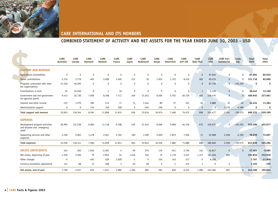

#### **COMBINED STATEMENT OF ACTIVITY AND NET ASSETS FOR THE YEAR ENDED JUNE 30, 2003 - USD**

|                                                                        | <b>CARE</b><br>Australia | <b>CARE</b><br>Canada | <b>CARE</b><br><b>Danmark</b> | <b>CARE</b><br>Deutsch- | <b>CARE</b><br><b>France</b> | <b>CARE</b><br>Japan | <b>CARE</b><br><b>Nederland</b> | <b>CARE</b><br>Norge | <b>CARE</b><br><b>Osterreich</b> | <b>CARE</b><br>Int'l UK | <b>CARE</b><br><b>Raks Thai</b> | <b>CARE</b><br><b>USA</b> | <b>CARE Int'l</b><br>Secretariat | Comb.<br>Adj. | <b>Total</b><br>2003 | <b>Total</b><br>2002 |
|------------------------------------------------------------------------|--------------------------|-----------------------|-------------------------------|-------------------------|------------------------------|----------------------|---------------------------------|----------------------|----------------------------------|-------------------------|---------------------------------|---------------------------|----------------------------------|---------------|----------------------|----------------------|
| <b>SUPPORT AND REVENUE</b>                                             |                          |                       |                               |                         |                              |                      |                                 |                      |                                  |                         |                                 |                           |                                  |               |                      |                      |
| Agricultural commodities                                               | $\mathbf 0$              | $\mathbf 0$           | $\mathbf 0$                   | $\mathbf 0$             | $\mathbf 0$                  | $\mathbf 0$          | $\mathbf 0$                     | $\mathbf 0$          | $\Omega$                         | $\mathbf 0$             | $\mathbf{0}$                    | 87.694                    | $\mathbf 0$                      | $\mathbf{0}$  | 87.694               | 85.925               |
| Donor contributions                                                    | 2.753                    | 3.779                 | 607                           | 2.828                   | 3.495                        | 212                  | 76                              | 1.953                | 1.722                            | 8.416                   | 302                             | 95.575                    | $\mathbf 0$                      | $\mathbf{0}$  | 121.718              | 82.060               |
| Programs contracted with mem-<br>ber organizations                     | 21.240                   | 46.295                | $\mathbf 0$                   | $\Omega$                | $\mathbf{0}$                 | $\mathbf{0}$         | $\mathbf 0$                     | $\Omega$             | $\Omega$                         | $\mathbf 0$             | $\Omega$                        | 87.720                    | $\Omega$                         | $-155.255$    | $\mathbf 0$          | $\mathbf 0$          |
| Contributions in kind                                                  | 35                       | 34.269                | $\mathbf 0$                   | $\overline{c}$          | 10                           | $\mathbf 0$          | $\mathbf 0$                     | $\Omega$             | $\mathbf 0$                      | $\mathbf 0$             | $\mathbf{1}$                    | 4.125                     | $\mathbf 0$                      | $\mathbf{0}$  | 38.442               | 13.169               |
| Government and non-governmen-<br>tal agencies grants                   | 9.414                    | 32.730                | 7.059                         | 8.358                   | 7.711                        | 349                  | 21.543                          | 8.406                | 5.701                            | 65.735                  | 465                             | 239.475                   | $\mathbf{0}$                     | $\mathbf{0}$  | 406.945              | 327.661              |
| Interest and other income                                              | 212                      | 1.270                 | 185                           | 513                     | 71                           | 74                   | 1.544                           | 80                   | 37                               | 521                     | 40                              | 9.888                     | 32                               | $-32$         | 14.434               | 11.384               |
| Administrative support                                                 | $\mathbf 0$              | $\mathbf 0$           | 743                           | 156                     | 528                          | 0                    | 454                             | 238                  | $\mathbf 0$                      | $\mathbf 0$             | $\mathbf 0$                     | $\overline{0}$            | 2.170                            | $-4.288$      | 0                    | 0                    |
| <b>Total support and revenue</b>                                       | 33.653                   | 118.344               | 8.594                         | 11.858                  | 11.815                       | 636                  | 23.616                          | 10.675               | 7.460                            | 74.672                  | 808                             | 524.477                   | 2.201                            | $-159.575$    | 669.233              | 520.199              |
| <b>EXPENSES</b>                                                        |                          |                       |                               |                         |                              |                      |                                 |                      |                                  |                         |                                 |                           |                                  |               |                      |                      |
| Development program activities<br>and disaster and emergency<br>relief | 30.993                   | 112.238               | 6.083                         | 11.118                  | 9.708                        | 535                  | 21.543                          | 8.506                | 6.009                            | 64.376                  | 675                             | 436.672                   | $\overline{0}$                   | $-155.255$    | 553.200              | 452.677              |
| Supporting services and other<br>expenses                              | 2.236                    | 5.902                 | 1.478                         | 2.941                   | 2.103                        | 160                  | 1.500                           | 2.050                | 1.873                            | 7.504                   | 11                              | 52.988                    | 2.206                            | $-4.320$      | 78.630               | 72.607               |
| <b>Total expenses</b>                                                  | 33.230                   | 118.141               | 7.560                         | 14.059                  | 11.811                       | 694                  | 23.043                          | 10.556               | 7.882                            | 71.880                  | 686                             | 489.660                   | 2.206                            | $-159.575$    | 631.830              | 525.284              |
| <b>EXCESS (DEFICIENCY)</b>                                             | 423                      | 203                   | 1.034                         | $-2.201$                | 4                            | $-59$                | 574                             | 119                  | $-421$                           | 2.792                   | 122                             | 34.817                    | $-5$                             | $\mathbf{0}$  | 37.403               | $-5.085$             |
| Net assets, beginning of year                                          | 1.240                    | 2.266                 | 79                            | 2.823                   | 54                           | 1.246                | 352                             | 15                   | 1.119                            | 3.227                   | 1.157                           | 181.356                   | 902                              |               | 195.834              | 212.918              |
| Other changes                                                          | $-5$                     |                       | $-491$                        | 520                     | 1.020                        | $-1$                 | $\mathbf 0$                     | 154                  | 143                              | 217                     | 0                               | 6.209                     |                                  |               | 7.767                | $-11.806$            |
| Currency translation adjustment                                        | 141                      | 88                    | 13                            | 468                     | 3                            | 63                   | 58                              | 6                    | $-1$                             | 315                     | $\mathbf{1}$                    | $\mathbf 0$               | $\mathbf 0$                      |               | 1.155                | $-192$               |
| Net assets, end of year                                                | 1.799                    | 2.557                 | 635                           | 1.611                   | 1.082                        | 1.250                | 984                             | 294                  | 840                              | 6.551                   | 1.280                           | 222.382                   | 897                              | $\Omega$      | 242.160              | 195.834              |
|                                                                        |                          |                       |                               |                         |                              |                      |                                 |                      |                                  |                         |                                 |                           |                                  |               |                      |                      |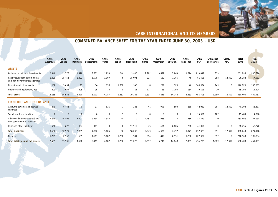

# **COMBINED BALANCE SHEET FOR THE YEAR ENDED JUNE 30, 2003 - USD**

|                                                                | <b>CARE</b><br>Australia | <b>CARE</b><br>Canada | <b>CARE</b><br><b>Danmark</b> | <b>CARE</b><br><b>Deutschland</b> | <b>CARE</b><br><b>France</b> | <b>CARE</b><br>Japan | <b>CARE</b><br>Nederland | <b>CARE</b><br>Norge | <b>CARE</b><br>Osterreich | <b>CARE</b><br>Int'l UK | <b>CARE</b><br><b>Raks Thai</b> | <b>CARE</b><br><b>USA</b> | <b>CARE Int'l</b><br>Secretariat | Comb.<br>Adj. | <b>Total</b><br>2003 | <b>Total</b><br>2002 |
|----------------------------------------------------------------|--------------------------|-----------------------|-------------------------------|-----------------------------------|------------------------------|----------------------|--------------------------|----------------------|---------------------------|-------------------------|---------------------------------|---------------------------|----------------------------------|---------------|----------------------|----------------------|
|                                                                |                          |                       |                               |                                   |                              |                      |                          |                      |                           |                         |                                 |                           |                                  |               |                      |                      |
| <b>ASSETS</b>                                                  |                          |                       |                               |                                   |                              |                      |                          |                      |                           |                         |                                 |                           |                                  |               |                      |                      |
| Cash and short term investments                                | 10.342                   | 13.772                | 1.978                         | 2.803                             | 1.959                        | 246                  | 3.940                    | 2.292                | 3.677                     | 5.263                   | 1.774                           | 213.017                   | 833                              |               | 261.895              | 240.690              |
| Receivables from governmental<br>and non-governmental agencies | 1.699                    | 15.451                | 1.323                         | 3.478                             | 1.909                        | 6                    | 15.091                   | 227                  | 182                       | 7.365                   | 48                              | 61.608                    | 288                              | $-12.392$     | 96.282               | 57.582               |
| Deposits and other assets                                      | 152                      | 3.651                 | 13                            | 34                                | 150                          | 1.030                | 148                      | $\mathbf{0}$         | 1.292                     | 326                     | 46                              | 169.934                   | 149                              | $\Omega$      | 176.926              | 160.605              |
| Property and equipment, net                                    | 293                      | 2.662                 | 205                           | 99                                | 70                           | $\Omega$             | 43                       | 117                  | 65                        | 1.095                   | 484                             | 10.146                    | 20                               |               | 15.298               | 11.104               |
| <b>Total assets</b>                                            | 12.485                   | 35.536                | 3.520                         | 6.413                             | 4.087                        | 1.282                | 19.222                   | 2.637                | 5.216                     | 14.048                  | 2.353                           | 454.705                   | 1.289                            | $-12.392$     | 550.400              | 469.981              |
| <b>LIABILITIES AND FUND BALANCE</b>                            |                          |                       |                               |                                   |                              |                      |                          |                      |                           |                         |                                 |                           |                                  |               |                      |                      |
| Accounts payable and accrued<br>expenses                       | 679                      | 6.461                 | $\mathbf{0}$                  | 97                                | 624                          |                      | 323                      | 41                   | 991                       | 893                     | 259                             | 42.059                    | 264                              | $-12.392$     | 40.308               | 53.611               |
| Social and fiscal liabilities                                  |                          |                       | $\overline{0}$                | 0                                 | $\Omega$                     | 5                    | $\Omega$                 | $\Omega$             | $\Omega$                  | $\Omega$                | $\Omega$                        | 15.351                    | 127                              |               | 15.483               | 14.798               |
| Advances by governmental and<br>non-governmental agencies      | 9.448                    | 25.896                | 2.701                         | 4.564                             | 2.380                        | 20                   | $\Omega$                 | 2.257                | 1.983                     | $\mathbf{0}$            | 586                             | 133.859                   | 0                                |               | 183.694              | 157.468              |
| Debt and other liabilities                                     | 560                      | 622                   | 184                           | 141                               | 0                            | 0                    | 17.915                   | 45                   | 1.401                     | 6.604                   | 228                             | 41.054                    | 0                                | $\Omega$      | 68.754               | 48.270               |
| <b>Total liabilities</b>                                       | 10.686                   | 32.979                | 2.885                         | 4.802                             | 3.005                        | 32                   | 18.238                   | 2.343                | 4.376                     | 7.497                   | 1.073                           | 232.323                   | 391                              | $-12.392$     | 308.240              | 274.148              |
| Net assets                                                     | 1.799                    | 2.557                 | 635                           | 1.611                             | 1.082                        | 1.250                | 984                      | 294                  | 840                       | 6.551                   | 1.280                           | 222.382                   | 897                              | 0             | 242.160              | 195.834              |
| <b>Total labilities and net assets</b>                         | 12.485                   | 35.536                | 3.520                         | 6.413                             | 4.087                        | 1.282                | 19.222                   | 2.637                | 5.216                     | 14.048                  | 2.353                           | 454.705                   | 1.289                            | $-12.392$     | 550.400              | 469.981              |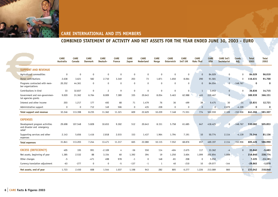

# **COMBINED STATEMENT OF ACTIVITY AND NET ASSETS FOR THE YEAR ENDED JUNE 30, 2003 - EURO**

|                                                                        | <b>CARE</b><br>Australia | <b>CARE</b><br>Canada | <b>CARE</b><br><b>Danmark</b> | <b>CARE</b><br>Deutsch- | <b>CARE</b><br><b>France</b> | <b>CARE</b><br><b>Japan</b> | <b>CARE</b><br><b>Nederland</b> | <b>CARE</b><br>Norge | <b>CARE</b><br><b>Osterreich</b> | <b>CARE</b><br>Int'l UK | <b>CARE</b><br><b>Raks Thai</b> | <b>CARE</b><br><b>USA</b> | <b>CARE Int'l</b><br>Secretariat | Comb.<br>Adj.  | <b>Total</b><br>2003 | <b>Total</b><br>2002 |
|------------------------------------------------------------------------|--------------------------|-----------------------|-------------------------------|-------------------------|------------------------------|-----------------------------|---------------------------------|----------------------|----------------------------------|-------------------------|---------------------------------|---------------------------|----------------------------------|----------------|----------------------|----------------------|
| <b>SUPPORT AND REVENUE</b>                                             |                          |                       |                               |                         |                              |                             |                                 |                      |                                  |                         |                                 |                           |                                  |                |                      |                      |
| Agricultural commodities                                               | $\mathbf{0}$             | $\Omega$              | $\Omega$                      | $\mathbf 0$             | $\mathbf{0}$                 | $\mathbf{0}$                | $\mathbf 0$                     | $\mathbf 0$          | $\mathbf 0$                      | $\Omega$                | $\mathbf{0}$                    | 84.029                    | $\mathbf 0$                      | $\mathbf{0}$   | 84.029               | 96.019               |
| Donor contributions                                                    | 2.638                    | 3.621                 | 582                           | 2.710                   | 3.349                        | 203                         | 73                              | 1.871                | 1.650                            | 8.064                   | 290                             | 91.581                    | $\mathbf 0$                      | $\Omega$       | 116.631              | 91.700               |
| Programs contracted with mem-<br>ber organizations                     | 20.352                   | 44.361                | 0                             | $\mathbf 0$             | $\mathbf{0}$                 | $\mathbf 0$                 | $\mathbf 0$                     | $\mathbf 0$          | $\mathbf 0$                      | $\Omega$                | $\mathbf{0}$                    | 84.054                    | $\mathbf{0}$                     | $-148.767$     | 0                    | 0                    |
| Contributions in kind                                                  | 33                       | 32.837                | $\mathbf{0}$                  | $\overline{c}$          | 9                            | $\mathbf{0}$                | $\mathbf{0}$                    | $\mathbf 0$          | $\mathbf 0$                      | $\mathbf 0$             | $\mathbf{1}$                    | 3.953                     | $\mathbf{0}$                     | $\mathbf{0}$   | 36.836               | 14.715               |
| Government and non-governmen-<br>tal agencies grants                   | 9.020                    | 31.362                | 6.764                         | 8.009                   | 7.389                        | 335                         | 20.643                          | 8.054                | 5.463                            | 62.988                  | 445                             | 229.467                   | $\mathbf{0}$                     |                | 389.939              | 366.151              |
| Interest and other income                                              | 203                      | 1.217                 | 177                           | 492                     | 68                           | 71                          | 1.479                           | 76                   | 36                               | 499                     | 38                              | 9.475                     | 30                               | $-31$          | 13.831               | 12.721               |
| Administrative support                                                 | $\mathbf 0$              | $\Omega$              | 712                           | 149                     | 506                          | $\mathbf 0$                 | 435                             | 228                  | $\mathbf 0$                      | $\Omega$                | $\mathbf 0$                     | $\mathbf 0$               | 2.079                            | $-4.109$       | 0                    | 0                    |
| Total support and revenue                                              | 32.246                   | 113.398               | 8.235                         | 11.362                  | 11.321                       | 609                         | 22.629                          | 10.229               | 7.148                            | 71.551                  | 774                             | 502.559                   | 2.109                            | $-152.906$     | 641.266              | 581.307              |
| <b>EXPENSES</b>                                                        |                          |                       |                               |                         |                              |                             |                                 |                      |                                  |                         |                                 |                           |                                  |                |                      |                      |
| Development program activities<br>and disaster and emergency<br>relief | 29.698                   | 107.548               | 5.828                         | 10.653                  | 9.302                        | 512                         | 20.643                          | 8.151                | 5.758                            | 61.685                  | 647                             | 418.423                   | $\mathbf{0}$                     | $-148.767$     | 530.082              | 505.853              |
| Supporting services and other<br>expenses                              | 2.143                    | 5.656                 | 1.416                         | 2.818                   | 2.015                        | 153                         | 1.437                           | 1.964                | 1.794                            | 7.191                   | 10                              | 50.774                    | 2.114                            | $-4.139$       | 75.344               | 81.136               |
| <b>Total expenses</b>                                                  | 31.841                   | 113.203               | 7.244                         | 13.471                  | 11.317                       | 665                         | 22.080                          | 10.115               | 7.552                            | 68.876                  | 657                             | 469.197                   | 2.114                            | $-152.906$     | 605.426              | 586.990              |
| <b>EXCESS (DEFICIENCY)</b>                                             | 405                      | 195                   | 991                           | $-2.109$                | 4                            | $-56$                       | 550                             | 114                  | $-404$                           | 2.675                   | 117                             | 33.362                    | -4                               | $\mathbf{0}$   | 35.840               | $-5.683$             |
| Net assets, beginning of year                                          | 1.385                    | 2.532                 | 88                            | 3.154                   | 60                           | 1.392                       | 394                             | 19                   | 1.250                            | 3.604                   | 1.099                           | 202.854                   | 1.008                            | $\blacksquare$ | 218.840              | 238.774              |
| Other changes                                                          | $-5$                     |                       | $-471$                        | 498                     | 978                          | $-1$                        | $\mathbf 0$                     | 148                  | $-81$                            | 208                     | $\mathbf 0$                     | 5.950                     |                                  | $\blacksquare$ | 7.225                | $-13.181$            |
| Currency translation adjustment                                        | $-63$                    | $-277$                | $\mathbf{0}$                  | $\Omega$                | $-5$                         | $-137$                      | $-1$                            | 1                    | 40                               | $-210$                  | 10                              | $-29.077$                 | $-144$                           | $\blacksquare$ | $-29.863$            | $-1.070$             |
| Net assets, end of year                                                | 1.723                    | 2.450                 | 608                           | 1.544                   | 1.037                        | 1.198                       | 943                             | 282                  | 805                              | 6.277                   | 1.226                           | 213.089                   | 860                              | $\mathbf{0}$   | 232.042              | 218.840              |
|                                                                        |                          |                       |                               |                         |                              |                             |                                 |                      |                                  |                         |                                 |                           |                                  |                |                      |                      |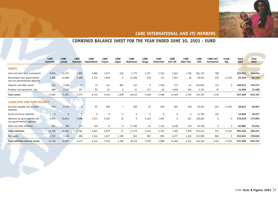

#### **COMBINED BALANCE SHEET FOR THE YEAR ENDED JUNE 30, 2003 - EURO**

|                                                                | <b>CARE</b><br>Australia | <b>CARE</b><br>Canada | <b>CARE</b><br><b>Danmark</b> | <b>CARE</b><br><b>Deutschland</b> | <b>CARE</b><br>France | <b>CARE</b><br>Japan | <b>CARE</b><br>Nederland | <b>CARE</b><br>Norge | <b>CARE</b><br><b>Osterreich</b> | <b>CARE</b><br>Int'l UK | <b>CARE</b><br><b>Raks Thai</b> | <b>CARE</b><br><b>USA</b> | <b>CARE Int'l</b><br>Secretariat | Comb.<br>Adj.            | <b>Total</b><br>2003 | <b>Total</b><br>2002 |  |
|----------------------------------------------------------------|--------------------------|-----------------------|-------------------------------|-----------------------------------|-----------------------|----------------------|--------------------------|----------------------|----------------------------------|-------------------------|---------------------------------|---------------------------|----------------------------------|--------------------------|----------------------|----------------------|--|
| <b>ASSETS</b>                                                  |                          |                       |                               |                                   |                       |                      |                          |                      |                                  |                         |                                 |                           |                                  |                          |                      |                      |  |
| Cash and short term investments                                | 9.910                    | 13.197                | 1.896                         | 2.686                             | 1.877                 | 236                  | 3.775                    | 2.197                | 3.523                            | 5.043                   | 1.700                           | 204.115                   | 798                              |                          | 250.951              | 268.934              |  |
| Receivables from governmental<br>and non-governmental agencies | 1.628                    | 14.806                | 1.268                         | 3.332                             | 1.829                 | 6                    | 14.460                   | 218                  | 174                              | 7.057                   | 46                              | 59.033                    | 276                              | $-11.874$                | 92.259               | 64.376               |  |
| Deposits and other assets                                      | 145                      | 3.498                 | 12                            | 32                                | 143                   | 987                  | 142                      | $\mathbf 0$          | 1.238                            | 313                     | 44                              | 162.832                   | 143                              | 0                        | 169.532              | 179.471              |  |
| Property and equipment, net                                    | 280                      | 2.550                 | 197                           | 95                                | 67                    | $\Omega$             | 41                       | 113                  | 62                               | 1.048                   | 464                             | 9.722                     | 19                               | $\overline{\phantom{a}}$ | 14.658               | 12.409               |  |
| <b>Total assets</b>                                            | 11.963                   | 34.051                | 3.373                         | 6.145                             | 3.916                 | 1.228                | 18.419                   | 2.528                | 4.998                            | 13.460                  | 2.254                           | 435.703                   | 1.236                            |                          | 527.400              | 525.191              |  |
| <b>LIABILITIES AND FUND BALANCE</b>                            |                          |                       |                               |                                   |                       |                      |                          |                      |                                  |                         |                                 |                           |                                  |                          |                      |                      |  |
| Accounts payable and accrued<br>expenses                       | 650                      | 6.191                 | $\mathbf{0}$                  | 93                                | 598                   | 7                    | 309                      | 39                   | 949                              | 855                     | 248                             | 40.301                    | 254                              | $-11.874$                | 38.622               | 59.907               |  |
| Social and fiscal liabilities                                  | $\Omega$                 | $\Omega$              | $\overline{0}$                | $\mathbf 0$                       | $\Omega$              | 5                    | $\mathbf 0$              | $\mathbf 0$          | $\Omega$                         | $\Omega$                | $\Omega$                        | 14.709                    | 122                              |                          | 14.836               | 16.537               |  |
| Advances by governmental and<br>non-governmental agencies      | 9.053                    | 24.814                | 2.588                         | 4.373                             | 2.281                 | 19                   | $\mathbf 0$              | 2.163                | 1.901                            | 0                       | 561                             | 128.265                   | 0                                | 0                        | 176.018              | 175.965              |  |
| Debt and other liabilities                                     | 537                      | 596                   | 176                           | 135                               | 0                     | 0                    | 17.166                   | 44                   | 1.343                            | 6.328                   | 219                             | 39.338                    | 0                                | $\Omega$                 | 65.882               | 53.942               |  |
| <b>Total liabilities</b>                                       | 10.240                   | 31.601                | 2.764                         | 4.601                             | 2.879                 | 31                   | 17.476                   | 2.246                | 4.193                            | 7.183                   | 1.028                           | 222.614                   | 376                              | $-11.874$                | 295.358              | 306.351              |  |
| Net assets                                                     | 1.723                    | 2.450                 | 608                           | 1.544                             | 1.037                 | 1.198                | 943                      | 282                  | 805                              | 6.277                   | 1.226                           | 213.089                   | 860                              | 0                        | 232.042              | 218.840              |  |
| <b>Total labilities and net assets</b>                         | 11.963                   | 34.051                | 3.373                         | 6.145                             | 3.916                 | 1.228                | 18.419                   | 2.528                | 4.998                            | 13.460                  | 2.254                           | 435.703                   | 1.236                            | $-11.874$                | 527.400              | 525.191              |  |